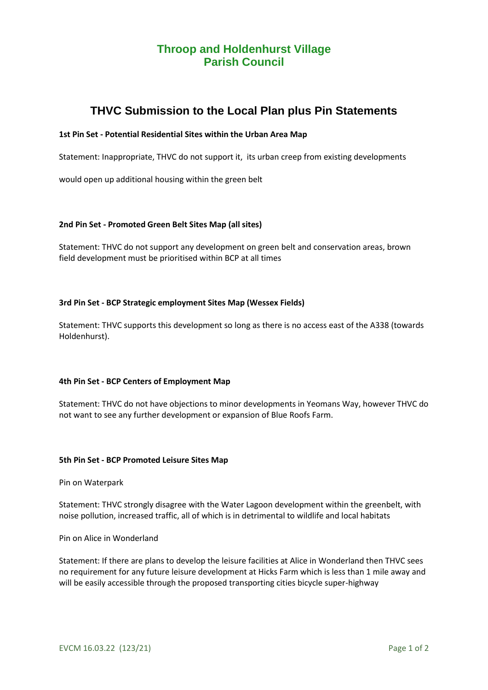# **Throop and Holdenhurst Village Parish Council**

# **THVC Submission to the Local Plan plus Pin Statements**

## **1st Pin Set - Potential Residential Sites within the Urban Area Map**

Statement: Inappropriate, THVC do not support it, its urban creep from existing developments

would open up additional housing within the green belt

## **2nd Pin Set - Promoted Green Belt Sites Map (all sites)**

Statement: THVC do not support any development on green belt and conservation areas, brown field development must be prioritised within BCP at all times

## **3rd Pin Set - BCP Strategic employment Sites Map (Wessex Fields)**

Statement: THVC supports this development so long as there is no access east of the A338 (towards Holdenhurst).

## **4th Pin Set - BCP Centers of Employment Map**

Statement: THVC do not have objections to minor developments in Yeomans Way, however THVC do not want to see any further development or expansion of Blue Roofs Farm.

#### **5th Pin Set - BCP Promoted Leisure Sites Map**

Pin on Waterpark

Statement: THVC strongly disagree with the Water Lagoon development within the greenbelt, with noise pollution, increased traffic, all of which is in detrimental to wildlife and local habitats

Pin on Alice in Wonderland

Statement: If there are plans to develop the leisure facilities at Alice in Wonderland then THVC sees no requirement for any future leisure development at Hicks Farm which is less than 1 mile away and will be easily accessible through the proposed transporting cities bicycle super-highway